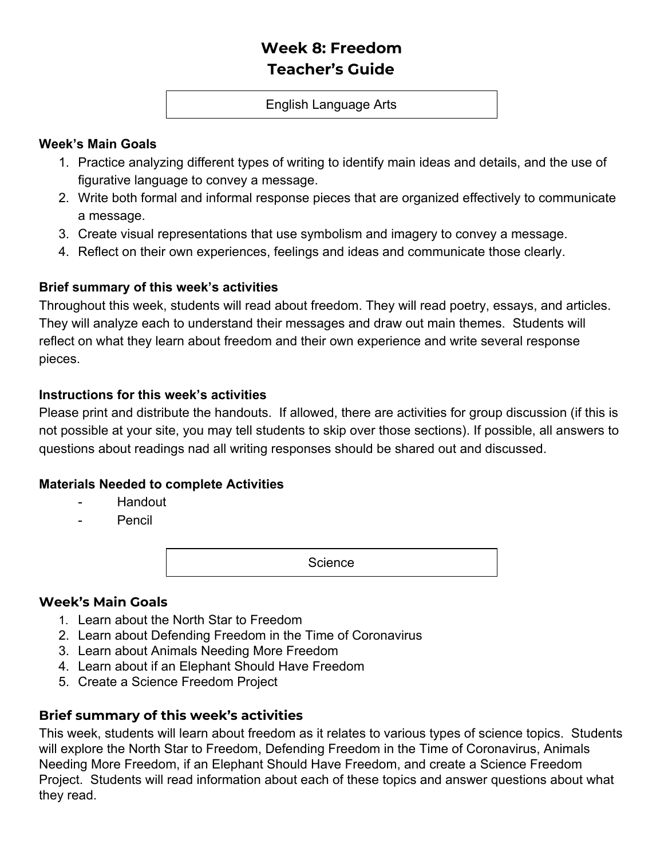# **Week 8: Freedom Teacher's Guide**

#### English Language Arts

#### **Week's Main Goals**

- 1. Practice analyzing different types of writing to identify main ideas and details, and the use of figurative language to convey a message.
- 2. Write both formal and informal response pieces that are organized effectively to communicate a message.
- 3. Create visual representations that use symbolism and imagery to convey a message.
- 4. Reflect on their own experiences, feelings and ideas and communicate those clearly.

### **Brief summary of this week's activities**

Throughout this week, students will read about freedom. They will read poetry, essays, and articles. They will analyze each to understand their messages and draw out main themes. Students will reflect on what they learn about freedom and their own experience and write several response pieces.

#### **Instructions for this week's activities**

Please print and distribute the handouts. If allowed, there are activities for group discussion (if this is not possible at your site, you may tell students to skip over those sections). If possible, all answers to questions about readings nad all writing responses should be shared out and discussed.

#### **Materials Needed to complete Activities**

- Handout
- **Pencil**

**Science** 

#### **Week's Main Goals**

- 1. Learn about the North Star to Freedom
- 2. Learn about Defending Freedom in the Time of Coronavirus
- 3. Learn about Animals Needing More Freedom
- 4. Learn about if an Elephant Should Have Freedom
- 5. Create a Science Freedom Project

## **Brief summary of this week's activities**

This week, students will learn about freedom as it relates to various types of science topics. Students will explore the North Star to Freedom, Defending Freedom in the Time of Coronavirus, Animals Needing More Freedom, if an Elephant Should Have Freedom, and create a Science Freedom Project. Students will read information about each of these topics and answer questions about what they read.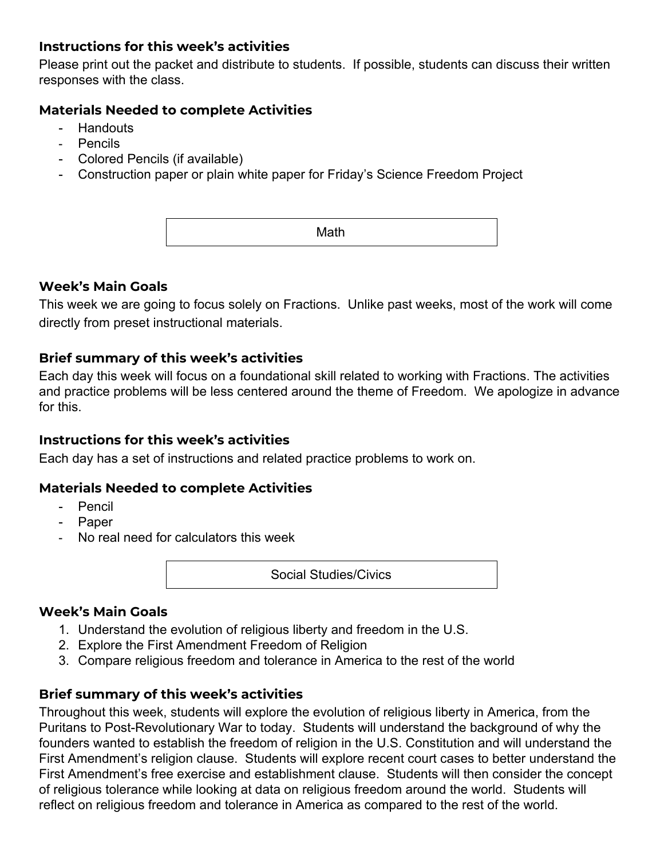### **Instructions for this week's activities**

Please print out the packet and distribute to students. If possible, students can discuss their written responses with the class.

#### **Materials Needed to complete Activities**

- **Handouts**
- Pencils
- Colored Pencils (if available)
- Construction paper or plain white paper for Friday's Science Freedom Project

Math

#### **Week's Main Goals**

This week we are going to focus solely on Fractions. Unlike past weeks, most of the work will come directly from preset instructional materials.

### **Brief summary of this week's activities**

Each day this week will focus on a foundational skill related to working with Fractions. The activities and practice problems will be less centered around the theme of Freedom. We apologize in advance for this.

#### **Instructions for this week's activities**

Each day has a set of instructions and related practice problems to work on.

#### **Materials Needed to complete Activities**

- Pencil
- Paper
- No real need for calculators this week

Social Studies/Civics

#### **Week's Main Goals**

- 1. Understand the evolution of religious liberty and freedom in the U.S.
- 2. Explore the First Amendment Freedom of Religion
- 3. Compare religious freedom and tolerance in America to the rest of the world

#### **Brief summary of this week's activities**

Throughout this week, students will explore the evolution of religious liberty in America, from the Puritans to Post-Revolutionary War to today. Students will understand the background of why the founders wanted to establish the freedom of religion in the U.S. Constitution and will understand the First Amendment's religion clause. Students will explore recent court cases to better understand the First Amendment's free exercise and establishment clause. Students will then consider the concept of religious tolerance while looking at data on religious freedom around the world. Students will reflect on religious freedom and tolerance in America as compared to the rest of the world.